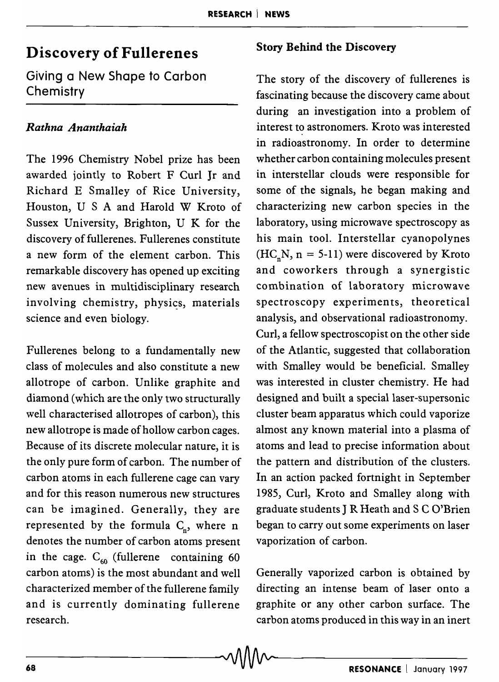# Discovery of Fullerenes

Giving a New Shape to Carbon **Chemistry** 

# *Rathna Ananthaiah*

The 1996 Chemistry Nobel prize has been awarded jointly to Robert F Curl Jr and Richard E Smalley of Rice University, Houston, USA and Harold W Kroto of Sussex University, Brighton, U K for the discovery of fullerenes. Fullerenes constitute a new form of the element carbon. This remarkable discovery has opened up exciting new avenues in multidisciplinary research involving chemistry, physics, materials science and even biology.

Fullerenes belong to a fundamentally new class of molecules and also constitute a new allotrope of carbon. Unlike graphite and diamond (which are the only two structurally well characterised allotropes of carbon), this new allotrope is made of hollow carbon cages. Because of its discrete molecular nature, it is the only pure form of carbon. The number of carbon atoms in each fullerene cage can vary and for this reason numerous new structures can be imagined. Generally, they are represented by the formula  $C_n$ , where n denotes the number of carbon atoms present in the cage.  $C_{60}$  (fullerene containing 60 carbon atoms) is the most abundant and well characterized member of the fullerene family and is currently dominating fullerene research.

# Story Behind the Discovery

The story of the discovery of fullerenes is fascinating because the discovery came about during an investigation into a problem of interest to astronomers. Kroto was interested in radioastronomy. In order to determine whether carbon containing molecules present in interstellar clouds were responsible for some of the signals, he began making and characterizing new carbon species in the laboratory, using microwave spectroscopy as his main tool. Interstellar cyanopolynes  $(HC_nN, n = 5-11)$  were discovered by Kroto and coworkers through a synergistic combination of laboratory microwave spectroscopy experiments, theoretical analysis, and observational radioastronomy. Curl, a fellow spectroscopist on the other side of the Atlantic, suggested that collaboration with Smalley would be beneficial. Smalley was interested in cluster chemistry. He had designed and built a special laser-supersonic cluster beam apparatus which could vaporize almost any known material into a plasma of atoms and lead to precise information about the pattern and distribution of the clusters. In an action packed fortnight in September 1985, Curl, Kroto and Smalley along with graduate students J R Heath and S C O'Brien began to carry out some experiments on laser vaporization of carbon.

Generally vaporized carbon is obtained by directing an intense beam of laser onto a graphite or any other carbon surface. The carbon atoms produced in this way in an inert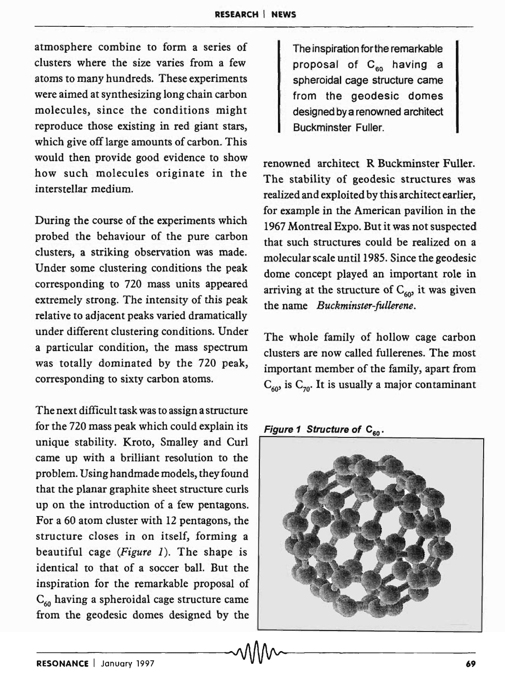atmosphere combine to form a series of clusters where the size varies from a few atoms to many hundreds. These experiments were aimed at synthesizing long chain carbon molecules, since the conditions might reproduce those existing in red giant stars, which give off large amounts of carbon. This would then provide good evidence to show how such molecules originate in the interstellar medium.

During the course of the experiments which probed the behaviour of the pure carbon clusters, a striking observation was made. Under some clustering conditions the peak corresponding to 720 mass units appeared extremely strong. The intensity of this peak relative to adjacent peaks varied dramatically under different clustering conditions. Under a particular condition, the mass spectrum was totally dominated by the 720 peak, corresponding to sixty carbon atoms.

The next difficult task was to assign a structure for the 720 mass peak which could explain its unique stability. Kroto, Smalley and Curl came up with a brilliant resolution to the problem. Using handmade models, they found that the planar graphite sheet structure curls up on the introduction of a few pentagons. For a 60 atom cluster with 12 pentagons, the structure closes in on itself, forming a beautiful cage *(Figure* 1). The shape is identical to that of a soccer ball. But the inspiration for the remarkable proposal of  $C_{60}$  having a spheroidal cage structure came from the geodesic domes designed by the

The inspiration for the remarkable proposal of  $C_{\epsilon_0}$  having a spheroidal cage structure came from the geodesic domes designed by a renowned architect Buckminster Fuller.

renowned architect R Buckminster Fuller. The stability of geodesic structures was realized and exploited by this architect earlier, for example in the American pavilion in the 1967 Montreal Expo. But it was not suspected that such structures could be realized on a molecular scale until 1985 . Since the geodesic dome concept played an important role in intriving at the structure of  $C_{60}$  it was given the name *Buckminster-fullerene.* 

The whole family of hollow cage carbon clusters are now called fullerenes. The most important member of the family, apart from  $C_{60}$  is  $C_{70}$ . It is usually a major contaminant

Figure 1 Structure of  $C_{60}$ 

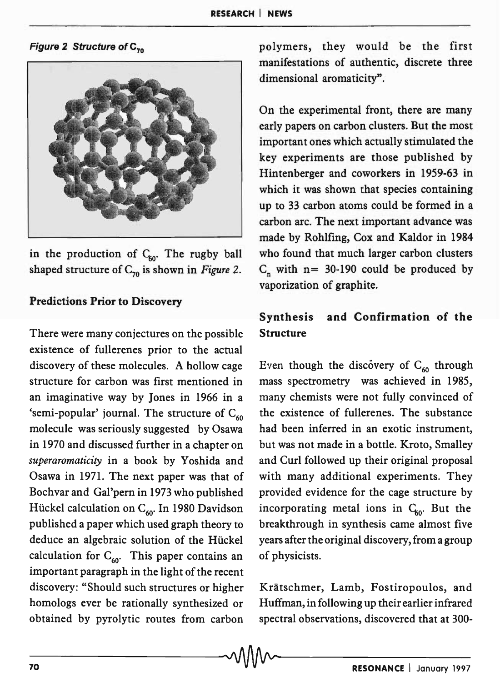Figure 2 Structure of  $C_{70}$ 



in the production of  $C_{60}$ . The rugby ball shaped structure of  $C_{70}$  is shown in *Figure 2*.

# Predictions Prior to Discovery

There were many conjectures on the possible existence of fullerenes prior to the actual discovery of these molecules. A hollow cage structure for carbon was first mentioned in an imaginative way by Jones in 1966 in a 'semi-popular' journal. The structure of  $C_{60}$ molecule was seriously suggested by Osawa in 1970 and discussed further in a chapter on *superaromaticity* in a book by Yoshida and Osawa in 1971. The next paper was that of Bochvar and Gal'pern in 1973 who published Hückel calculation on  $C_{60}$ . In 1980 Davidson published a paper which used graph theory to deduce an algebraic solution of the Huckel calculation for  $C_{60}$ . This paper contains an important paragraph in the light of the recent discovery: "Should such structures or higher homologs ever be rationally synthesized or obtained by pyrolytic routes from carbon polymers, they would be the first manifestations of authentic, discrete three dimensional aromaticity".

On the experimental front, there are many early papers on carbon clusters. But the most important ones which actually stimulated the key experiments are those published by Hintenberger and coworkers in 1959-63 in which it was shown that species containing up to 33 carbon atoms could be formed in a carbon arc. The next important advance was made by Rohlfing, Cox and Kaldor in 1984 who found that much larger carbon clusters  $C_n$  with n= 30-190 could be produced by vaporization of graphite.

# Synthesis and Confirmation of the Structure

Even though the discovery of  $C_{60}$  through mass spectrometry was achieved in 1985, many chemists were not fully convinced of the existence of fullerenes. The substance had been inferred in an exotic instrument, but was not made in a bottle. Kroto, Smalley and Curl followed up their original proposal with many additional experiments. They provided evidence for the cage structure by incorporating metal ions in  $C_{60}$ . But the breakthrough in synthesis came almost five years after the original discovery, from a group of physicists.

Kratschmer, Lamb, Fostiropoulos, and Huffman, in following up their earlier infrared spectral observations, discovered that at 300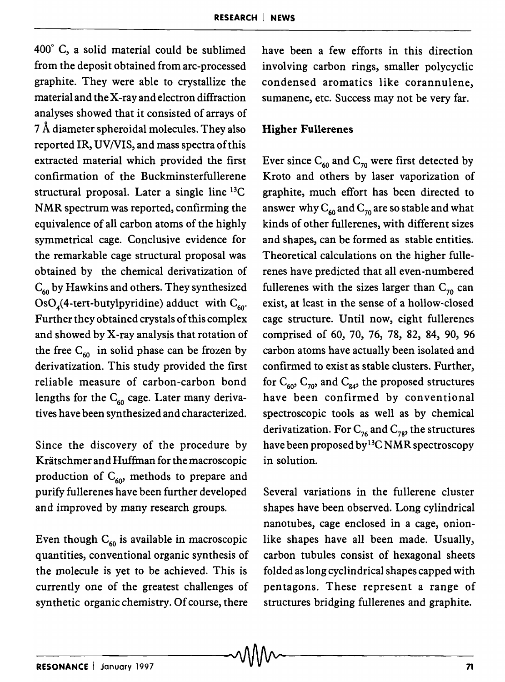$400^{\circ}$  C, a solid material could be sublimed have been a few efforts in this direction from the deposit obtained from arc-processed involving carbon rings, smaller polycyclic graphite. They were able to crystallize the condensed aromatics like corannulene, material and the X-ray and electron diffraction sumanene, etc. Success may not be very far. analyses showed that it consisted of arrays of 7 Å diameter spheroidal molecules. They also Higher Fullerenes reported IR, UV/VIS, and mass spectra of this extracted material which provided the first confirmation of the Buckminsterfullerene structural proposal. Later a single line 13C NMR spectrum was reported, confirming the equivalence of all carbon atoms of the highly symmetrical cage. Conclusive evidence for the remarkable cage structural proposal was obtained by the chemical derivatization of  $C_{60}$  by Hawkins and others. They synthesized  $OsO<sub>4</sub>(4-tert-butylpyridine)$  adduct with  $C<sub>60</sub>$ . Further they obtained crystals of this complex and showed by X-ray analysis that rotation of the free  $C_{60}$  in solid phase can be frozen by derivatization. This study provided the first reliable measure of carbon-carbon bond lengths for the  $C_{60}$  cage. Later many derivatives have been synthesized and characterized.

Since the discovery of the procedure by Kratschmer and Huffman for the macroscopic production of  $C_{60}$  methods to prepare and purify fullerenes have been further developed and improved by many research groups.

Even though  $C_{60}$  is available in macroscopic quantities, conventional organic synthesis of the molecule is yet to be achieved. This is currently one of the greatest challenges of synthetic organic chemistry. Of course, there

Ever since  $C_{60}$  and  $C_{70}$  were first detected by Kroto and others by laser vaporization of graphite, much effort has been directed to answer why  $C_{60}$  and  $C_{70}$  are so stable and what kinds of other fullerenes, with different sizes and shapes, can be formed as stable entities. Theoretical calculations on the higher fullerenes have predicted that all even-numbered fullerenes with the sizes larger than  $C_{70}$  can exist, at least in the sense of a hollow-closed cage structure. Until now, eight fullerenes comprised of 60, 70, 76, 78, 82, 84, 90, 96 carbon atoms have actually been isolated and confirmed to exist as stable clusters. Further, for  $C_{60}$ ,  $C_{70}$ , and  $C_{84}$ , the proposed structures have been confirmed by conventional spectroscopic tools as well as by chemical derivatization. For  $C_{76}$  and  $C_{78}$ , the structures have been proposed by13C NMR spectroscopy in solution.

Several variations in the fullerene cluster shapes have been observed. Long cylindrical nanotubes, cage enclosed in a cage, onionlike shapes have all been made. Usually, carbon tubules consist of hexagonal sheets folded as long cyclindrical shapes capped with pentagons. These represent a range of structures bridging fullerenes and graphite.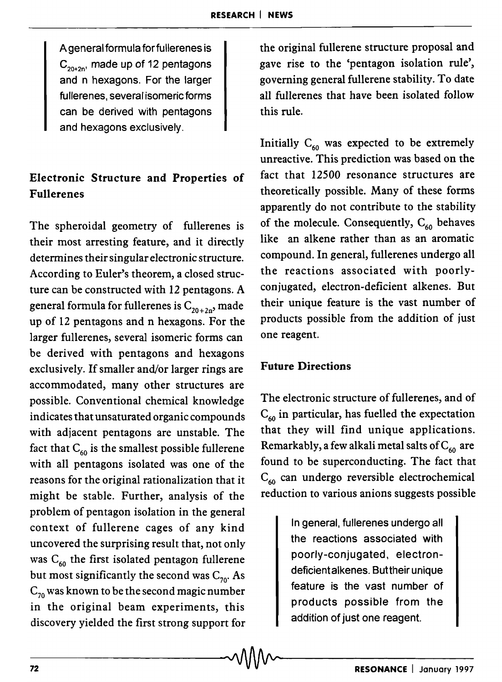A general formula forfullerenes is  $C_{20+20'}$  made up of 12 pentagons and n hexagons. For the larger fullerenes, several isomeric forms can be derived with pentagons and hexagons exclusively.

# Electronic Structure and Properties of Fullerenes

The spheroidal geometry of fullerenes is their most arresting feature, and it directly determines their singular electronic structure. According to Euler's theorem, a closed structure can be constructed with 12 pentagons. A general formula for fullerenes is  $C_{20+2n}$ , made up of 12 pentagons and n hexagons. For the larger fullerenes, several isomeric forms can be derived with pentagons and hexagons exclusively. If smaller and/or larger rings are accommodated, many other structures are possible. Conventional chemical knowledge indicates that unsaturated organic compounds with adjacent pentagons are unstable. The fact that  $C_{60}$  is the smallest possible fullerene with all pentagons isolated was one of the reasons for the original rationalization that it might be stable. Further, analysis of the problem of pentagon isolation in the general context of fullerene cages of any kind uncovered the surprising result that, not only was  $C_{60}$  the first isolated pentagon fullerene but most significantly the second was  $C_{70}$ . As  $C_{70}$  was known to be the second magic number in the original beam experiments, this discovery yielded the first strong support for the original fullerene structure proposal and gave rise to the 'pentagon isolation rule', governing general fullerene stability. To date all fullerenes that have been isolated follow this rule.

Initially  $C_{60}$  was expected to be extremely unreactive. This prediction was based on the fact that 12500 resonance structures are theoretically possible. Many of these forms apparently do not contribute to the stability of the molecule. Consequently,  $C_{60}$  behaves like an alkene rather than as an aromatic compound. In general, fullerenes undergo all the reactions associated with poorlyconjugated, electron-deficient alkenes. But their unique feature is the vast number of products possible from the addition of just one reagent.

# Future Directions

The electronic structure of fullerenes, and of  $C_{60}$  in particular, has fuelled the expectation that they will find unique applications. Remarkably, a few alkali metal salts of  $C_{60}$  are found to be superconducting. The fact that  $C_{60}$  can undergo reversible electrochemical reduction to various anions suggests possible

> In general, fullerenes undergo all the reactions associated with poorly-conjugated, electrondeficient alkenes. Buttheir unique feature is the vast number of products possible from the addition of just one reagent.